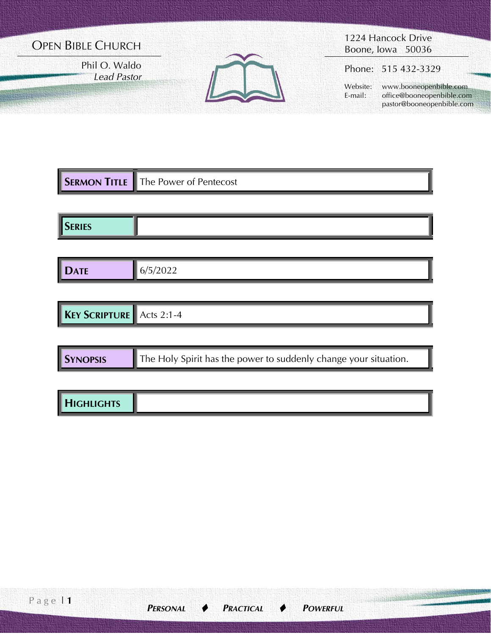# OPEN BIBLE CHURCH

Phil O. Waldo *Lead Pastor*



1224 Hancock Drive Boone, Iowa 50036

Phone: 515 432-3329

 Website: www.booneopenbible.com E-mail: office@booneopenbible.com pastor@booneopenbible.com

IJ

|               | <b>SERMON TITLE</b> The Power of Pentecost |
|---------------|--------------------------------------------|
|               |                                            |
| <b>SERIES</b> |                                            |

| <b>CONTRACTOR</b><br>. . | . .<br>- - |
|--------------------------|------------|
|--------------------------|------------|

| <b>KEY</b><br>/ Scripture <b>I</b><br>$\P$ Acts 2:1<br>-4 |
|-----------------------------------------------------------|
|-----------------------------------------------------------|

| <b>SYNOPSIS</b> | $\parallel$ The Holy Spirit has the power to suddenly change your situation. |
|-----------------|------------------------------------------------------------------------------|
|-----------------|------------------------------------------------------------------------------|

| <b>HIGHLIGHTS</b> |
|-------------------|
|-------------------|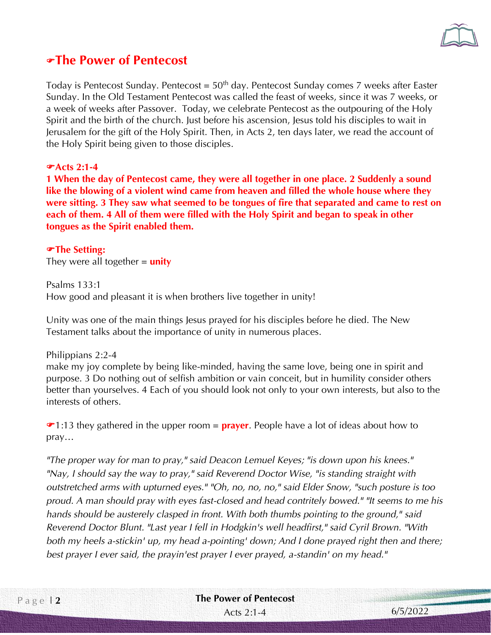

## **The Power of Pentecost**

Today is Pentecost Sunday. Pentecost =  $50<sup>th</sup>$  day. Pentecost Sunday comes 7 weeks after Easter Sunday. In the Old Testament Pentecost was called the feast of weeks, since it was 7 weeks, or a week of weeks after Passover. Today, we celebrate Pentecost as the outpouring of the Holy Spirit and the birth of the church. Just before his ascension, Jesus told his disciples to wait in Jerusalem for the gift of the Holy Spirit. Then, in Acts 2, ten days later, we read the account of the Holy Spirit being given to those disciples.

#### **Acts 2:1-4**

**1 When the day of Pentecost came, they were all together in one place. 2 Suddenly a sound like the blowing of a violent wind came from heaven and filled the whole house where they were sitting. 3 They saw what seemed to be tongues of fire that separated and came to rest on each of them. 4 All of them were filled with the Holy Spirit and began to speak in other tongues as the Spirit enabled them.** 

#### **The Setting:**

They were all together = **unity**

Psalms 133:1 How good and pleasant it is when brothers live together in unity!

Unity was one of the main things Jesus prayed for his disciples before he died. The New Testament talks about the importance of unity in numerous places.

Philippians 2:2-4 make my joy complete by being like-minded, having the same love, being one in spirit and purpose. 3 Do nothing out of selfish ambition or vain conceit, but in humility consider others better than yourselves. 4 Each of you should look not only to your own interests, but also to the interests of others.

1:13 they gathered in the upper room = **prayer**. People have a lot of ideas about how to pray…

*"The proper way for man to pray," said Deacon Lemuel Keyes; "is down upon his knees." "Nay, I should say the way to pray," said Reverend Doctor Wise, "is standing straight with outstretched arms with upturned eyes." "Oh, no, no, no," said Elder Snow, "such posture is too proud. A man should pray with eyes fast-closed and head contritely bowed." "It seems to me his hands should be austerely clasped in front. With both thumbs pointing to the ground," said Reverend Doctor Blunt. "Last year I fell in Hodgkin's well headfirst," said Cyril Brown. "With both my heels a-stickin' up, my head a-pointing' down; And I done prayed right then and there; best prayer I ever said, the prayin'est prayer I ever prayed, a-standin' on my head."*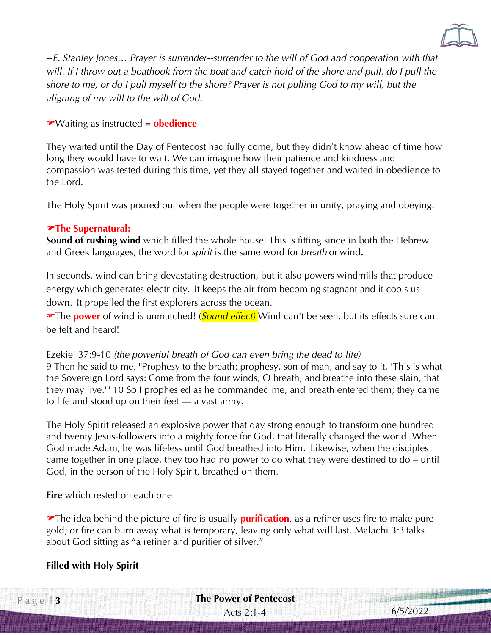

*--E. Stanley Jones… Prayer is surrender--surrender to the will of God and cooperation with that*  will. If I throw out a boathook from the boat and catch hold of the shore and pull, do I pull the *shore to me, or do I pull myself to the shore? Prayer is not pulling God to my will, but the aligning of my will to the will of God.*

Waiting as instructed = **obedience**

They waited until the Day of Pentecost had fully come, but they didn't know ahead of time how long they would have to wait. We can imagine how their patience and kindness and compassion was tested during this time, yet they all stayed together and waited in obedience to the Lord.

The Holy Spirit was poured out when the people were together in unity, praying and obeying.

#### **The Supernatural:**

**Sound of rushing wind** which filled the whole house. This is fitting since in both the Hebrew and Greek languages, the word for *spirit* is the same word for *breath* or wind**.**

In seconds, wind can bring devastating destruction, but it also powers windmills that produce energy which generates electricity. It keeps the air from becoming stagnant and it cools us down. It propelled the first explorers across the ocean.

The **power** of wind is unmatched! (*Sound effect)* Wind can't be seen, but its effects sure can be felt and heard!

Ezekiel 37:9-10 *(the powerful breath of God can even bring the dead to life)* 9 Then he said to me, "Prophesy to the breath; prophesy, son of man, and say to it, 'This is what the Sovereign Lord says: Come from the four winds, O breath, and breathe into these slain, that they may live.'" 10 So I prophesied as he commanded me, and breath entered them; they came to life and stood up on their feet — a vast army.

The Holy Spirit released an explosive power that day strong enough to transform one hundred and twenty Jesus-followers into a mighty force for God, that literally changed the world. When God made Adam, he was lifeless until God breathed into Him. Likewise, when the disciples came together in one place, they too had no power to do what they were destined to do – until God, in the person of the Holy Spirit, breathed on them.

**Fire** which rested on each one

The idea behind the picture of fire is usually **purification**, as a refiner uses fire to make pure gold; or fire can burn away what is temporary, leaving only what will last. Malachi 3:3 talks about God sitting as "a refiner and purifier of silver."

### **Filled with Holy Spirit**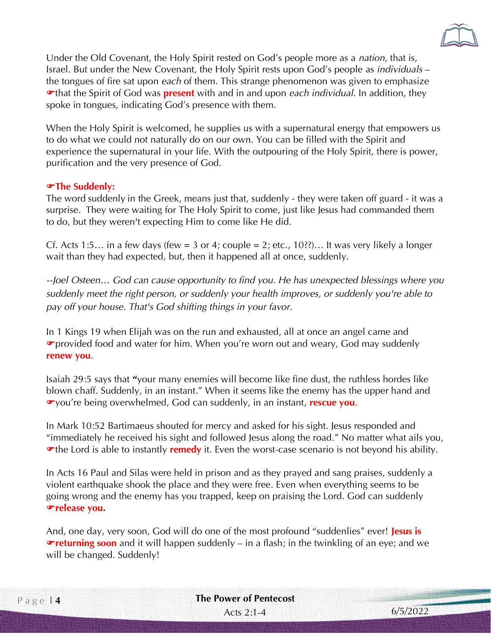

Under the Old Covenant, the Holy Spirit rested on God's people more as a *nation*, that is, Israel. But under the New Covenant, the Holy Spirit rests upon God's people as *individuals* – the tongues of fire sat upon *each* of them. This strange phenomenon was given to emphasize that the Spirit of God was **present** with and in and upon *each individual*. In addition, they spoke in tongues, indicating God's presence with them.

When the Holy Spirit is welcomed, he supplies us with a supernatural energy that empowers us to do what we could not naturally do on our own. You can be filled with the Spirit and experience the supernatural in your life. With the outpouring of the Holy Spirit, there is power, purification and the very presence of God.

#### **The Suddenly:**

The word suddenly in the Greek, means just that, suddenly - they were taken off guard - it was a surprise. They were waiting for The Holy Spirit to come, just like Jesus had commanded them to do, but they weren't expecting Him to come like He did.

Cf. Acts 1:5... in a few days (few = 3 or 4; couple = 2; etc., 10??)... It was very likely a longer wait than they had expected, but, then it happened all at once, suddenly.

*--Joel Osteen… God can cause opportunity to find you. He has unexpected blessings where you suddenly meet the right person, or suddenly your health improves, or suddenly you're able to pay off your house. That's God shifting things in your favor.*

In 1 Kings 19 when Elijah was on the run and exhausted, all at once an angel came and provided food and water for him. When you're worn out and weary, God may suddenly **renew you**.

Isaiah 29:5 says that **"**your many enemies will become like fine dust, the ruthless hordes like blown chaff. Suddenly, in an instant." When it seems like the enemy has the upper hand and you're being overwhelmed, God can suddenly, in an instant, **rescue you**.

In Mark 10:52 Bartimaeus shouted for mercy and asked for his sight. Jesus responded and "immediately he received his sight and followed Jesus along the road." No matter what ails you, **The Lord is able to instantly remedy** it. Even the worst-case scenario is not beyond his ability.

In Acts 16 Paul and Silas were held in prison and as they prayed and sang praises, suddenly a violent earthquake shook the place and they were free. Even when everything seems to be going wrong and the enemy has you trapped, keep on praising the Lord. God can suddenly **release you.**

And, one day, very soon, God will do one of the most profound "suddenlies" ever! **Jesus is returning soon** and it will happen suddenly – in a flash; in the twinkling of an eye; and we will be changed. Suddenly!